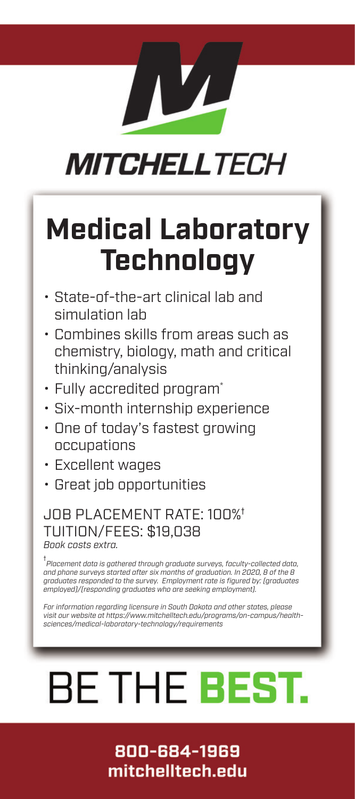# **MITCHELLTECH**

# **Medical Laboratory Technology**

- State-of-the-art clinical lab and simulation lab
- Combines skills from areas such as chemistry, biology, math and critical thinking/analysis
- Fully accredited program\*
- Six-month internship experience
- One of today's fastest growing occupations
- Excellent wages
- Great job opportunities

## JOB PLACEMENT RATE: 100%† TUITION/FEES: \$19,038 *Book costs extra.*

† *Placement data is gathered through graduate surveys, faculty-collected data, and phone surveys started after six months of graduation. In 2020, 8 of the 8 graduates responded to the survey. Employment rate is figured by: (graduates employed)/(responding graduates who are seeking employment).*

*For information regarding licensure in South Dakota and other states, please visit our website at https://www.mitchelltech.edu/programs/on-campus/healthsciences/medical-laboratory-technology/requirements*

# **BE THE BEST.**

# 800-684-1969 mitchelltech.edu